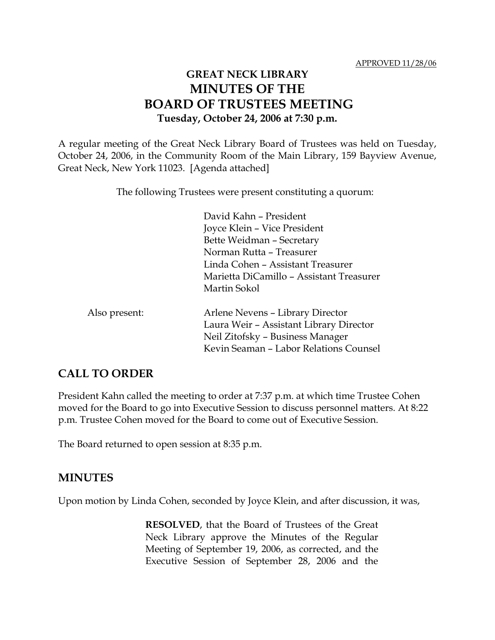# **GREAT NECK LIBRARY MINUTES OF THE BOARD OF TRUSTEES MEETING Tuesday, October 24, 2006 at 7:30 p.m.**

A regular meeting of the Great Neck Library Board of Trustees was held on Tuesday, October 24, 2006, in the Community Room of the Main Library, 159 Bayview Avenue, Great Neck, New York 11023. [Agenda attached]

The following Trustees were present constituting a quorum:

|               | David Kahn - President                   |
|---------------|------------------------------------------|
|               | Joyce Klein – Vice President             |
|               | Bette Weidman - Secretary                |
|               | Norman Rutta - Treasurer                 |
|               | Linda Cohen - Assistant Treasurer        |
|               | Marietta DiCamillo - Assistant Treasurer |
|               | Martin Sokol                             |
| Also present: | Arlene Nevens - Library Director         |
|               | Laura Weir - Assistant Library Director  |
|               | Neil Zitofsky - Business Manager         |
|               | Kevin Seaman - Labor Relations Counsel   |

#### **CALL TO ORDER**

President Kahn called the meeting to order at 7:37 p.m. at which time Trustee Cohen moved for the Board to go into Executive Session to discuss personnel matters. At 8:22 p.m. Trustee Cohen moved for the Board to come out of Executive Session.

The Board returned to open session at 8:35 p.m.

#### **MINUTES**

Upon motion by Linda Cohen, seconded by Joyce Klein, and after discussion, it was,

**RESOLVED**, that the Board of Trustees of the Great Neck Library approve the Minutes of the Regular Meeting of September 19, 2006, as corrected, and the Executive Session of September 28, 2006 and the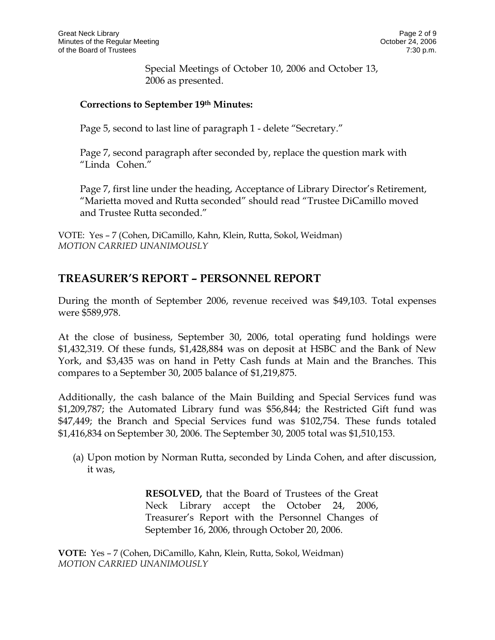Special Meetings of October 10, 2006 and October 13, 2006 as presented.

#### **Corrections to September 19th Minutes:**

Page 5, second to last line of paragraph 1 - delete "Secretary."

Page 7, second paragraph after seconded by, replace the question mark with "Linda Cohen."

Page 7, first line under the heading, Acceptance of Library Director's Retirement, "Marietta moved and Rutta seconded" should read "Trustee DiCamillo moved and Trustee Rutta seconded."

VOTE:Yes – 7 (Cohen, DiCamillo, Kahn, Klein, Rutta, Sokol, Weidman) *MOTION CARRIED UNANIMOUSLY*

## **TREASURER'S REPORT – PERSONNEL REPORT**

During the month of September 2006, revenue received was \$49,103. Total expenses were \$589,978.

At the close of business, September 30, 2006, total operating fund holdings were \$1,432,319. Of these funds, \$1,428,884 was on deposit at HSBC and the Bank of New York, and \$3,435 was on hand in Petty Cash funds at Main and the Branches. This compares to a September 30, 2005 balance of \$1,219,875.

Additionally, the cash balance of the Main Building and Special Services fund was \$1,209,787; the Automated Library fund was \$56,844; the Restricted Gift fund was \$47,449; the Branch and Special Services fund was \$102,754. These funds totaled \$1,416,834 on September 30, 2006. The September 30, 2005 total was \$1,510,153.

(a) Upon motion by Norman Rutta, seconded by Linda Cohen, and after discussion, it was,

> **RESOLVED,** that the Board of Trustees of the Great Neck Library accept the October 24, 2006, Treasurer's Report with the Personnel Changes of September 16, 2006, through October 20, 2006.

**VOTE:** Yes – 7 (Cohen, DiCamillo, Kahn, Klein, Rutta, Sokol, Weidman) *MOTION CARRIED UNANIMOUSLY*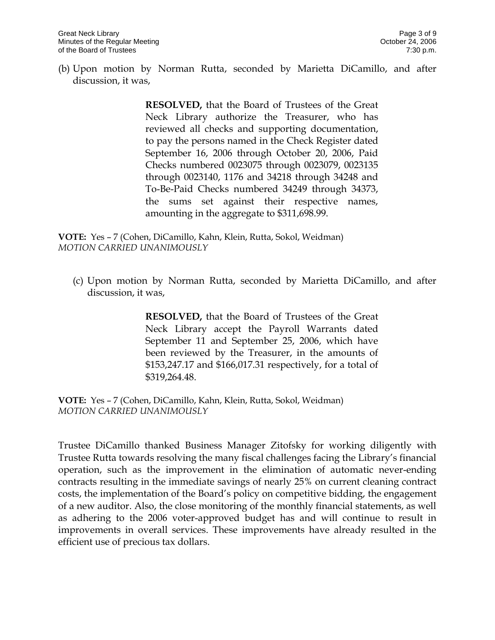(b) Upon motion by Norman Rutta, seconded by Marietta DiCamillo, and after discussion, it was,

> **RESOLVED,** that the Board of Trustees of the Great Neck Library authorize the Treasurer, who has reviewed all checks and supporting documentation, to pay the persons named in the Check Register dated September 16, 2006 through October 20, 2006, Paid Checks numbered 0023075 through 0023079, 0023135 through 0023140, 1176 and 34218 through 34248 and To-Be-Paid Checks numbered 34249 through 34373, the sums set against their respective names, amounting in the aggregate to \$311,698.99.

**VOTE:** Yes – 7 (Cohen, DiCamillo, Kahn, Klein, Rutta, Sokol, Weidman) *MOTION CARRIED UNANIMOUSLY*

(c) Upon motion by Norman Rutta, seconded by Marietta DiCamillo, and after discussion, it was,

> **RESOLVED,** that the Board of Trustees of the Great Neck Library accept the Payroll Warrants dated September 11 and September 25, 2006, which have been reviewed by the Treasurer, in the amounts of \$153,247.17 and \$166,017.31 respectively, for a total of \$319,264.48.

**VOTE:** Yes – 7 (Cohen, DiCamillo, Kahn, Klein, Rutta, Sokol, Weidman) *MOTION CARRIED UNANIMOUSLY*

Trustee DiCamillo thanked Business Manager Zitofsky for working diligently with Trustee Rutta towards resolving the many fiscal challenges facing the Library's financial operation, such as the improvement in the elimination of automatic never-ending contracts resulting in the immediate savings of nearly 25% on current cleaning contract costs, the implementation of the Board's policy on competitive bidding, the engagement of a new auditor. Also, the close monitoring of the monthly financial statements, as well as adhering to the 2006 voter-approved budget has and will continue to result in improvements in overall services. These improvements have already resulted in the efficient use of precious tax dollars.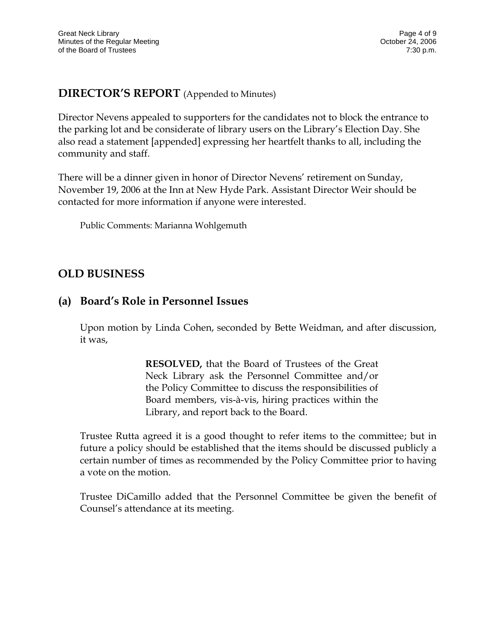#### **DIRECTOR'S REPORT** (Appended to Minutes)

Director Nevens appealed to supporters for the candidates not to block the entrance to the parking lot and be considerate of library users on the Library's Election Day. She also read a statement [appended] expressing her heartfelt thanks to all, including the community and staff.

There will be a dinner given in honor of Director Nevens' retirement on Sunday, November 19, 2006 at the Inn at New Hyde Park. Assistant Director Weir should be contacted for more information if anyone were interested.

Public Comments: Marianna Wohlgemuth

## **OLD BUSINESS**

# **(a) Board's Role in Personnel Issues**

Upon motion by Linda Cohen, seconded by Bette Weidman, and after discussion, it was,

> **RESOLVED,** that the Board of Trustees of the Great Neck Library ask the Personnel Committee and/or the Policy Committee to discuss the responsibilities of Board members, vis-à-vis, hiring practices within the Library, and report back to the Board.

Trustee Rutta agreed it is a good thought to refer items to the committee; but in future a policy should be established that the items should be discussed publicly a certain number of times as recommended by the Policy Committee prior to having a vote on the motion.

Trustee DiCamillo added that the Personnel Committee be given the benefit of Counsel's attendance at its meeting.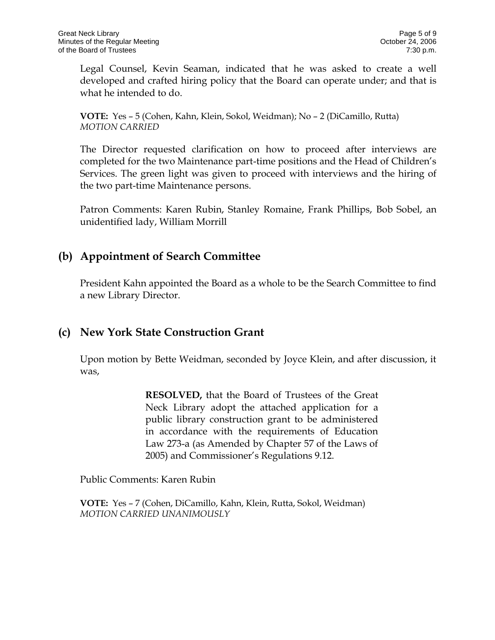Legal Counsel, Kevin Seaman, indicated that he was asked to create a well developed and crafted hiring policy that the Board can operate under; and that is what he intended to do.

**VOTE:** Yes – 5 (Cohen, Kahn, Klein, Sokol, Weidman); No – 2 (DiCamillo, Rutta) *MOTION CARRIED* 

The Director requested clarification on how to proceed after interviews are completed for the two Maintenance part-time positions and the Head of Children's Services. The green light was given to proceed with interviews and the hiring of the two part-time Maintenance persons.

Patron Comments: Karen Rubin, Stanley Romaine, Frank Phillips, Bob Sobel, an unidentified lady, William Morrill

# **(b) Appointment of Search Committee**

President Kahn appointed the Board as a whole to be the Search Committee to find a new Library Director.

## **(c) New York State Construction Grant**

Upon motion by Bette Weidman, seconded by Joyce Klein, and after discussion, it was,

> **RESOLVED,** that the Board of Trustees of the Great Neck Library adopt the attached application for a public library construction grant to be administered in accordance with the requirements of Education Law 273-a (as Amended by Chapter 57 of the Laws of 2005) and Commissioner's Regulations 9.12.

Public Comments: Karen Rubin

**VOTE:** Yes – 7 (Cohen, DiCamillo, Kahn, Klein, Rutta, Sokol, Weidman) *MOTION CARRIED UNANIMOUSLY*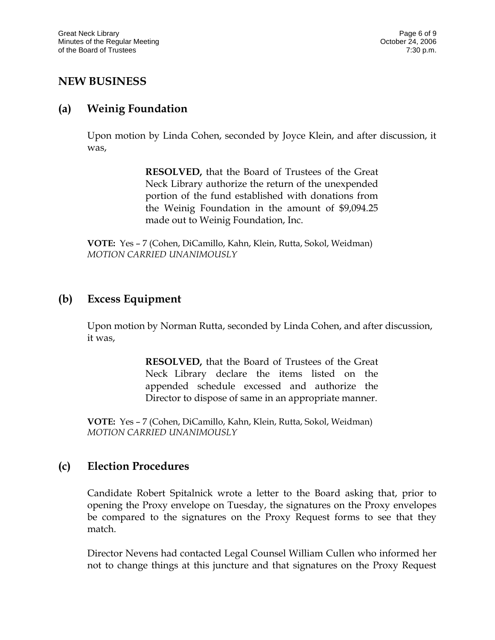## **NEW BUSINESS**

#### **(a) Weinig Foundation**

Upon motion by Linda Cohen, seconded by Joyce Klein, and after discussion, it was,

> **RESOLVED,** that the Board of Trustees of the Great Neck Library authorize the return of the unexpended portion of the fund established with donations from the Weinig Foundation in the amount of \$9,094.25 made out to Weinig Foundation, Inc.

**VOTE:** Yes – 7 (Cohen, DiCamillo, Kahn, Klein, Rutta, Sokol, Weidman) *MOTION CARRIED UNANIMOUSLY*

## **(b) Excess Equipment**

Upon motion by Norman Rutta, seconded by Linda Cohen, and after discussion, it was,

> **RESOLVED,** that the Board of Trustees of the Great Neck Library declare the items listed on the appended schedule excessed and authorize the Director to dispose of same in an appropriate manner.

**VOTE:** Yes – 7 (Cohen, DiCamillo, Kahn, Klein, Rutta, Sokol, Weidman) *MOTION CARRIED UNANIMOUSLY*

## **(c) Election Procedures**

Candidate Robert Spitalnick wrote a letter to the Board asking that, prior to opening the Proxy envelope on Tuesday, the signatures on the Proxy envelopes be compared to the signatures on the Proxy Request forms to see that they match.

Director Nevens had contacted Legal Counsel William Cullen who informed her not to change things at this juncture and that signatures on the Proxy Request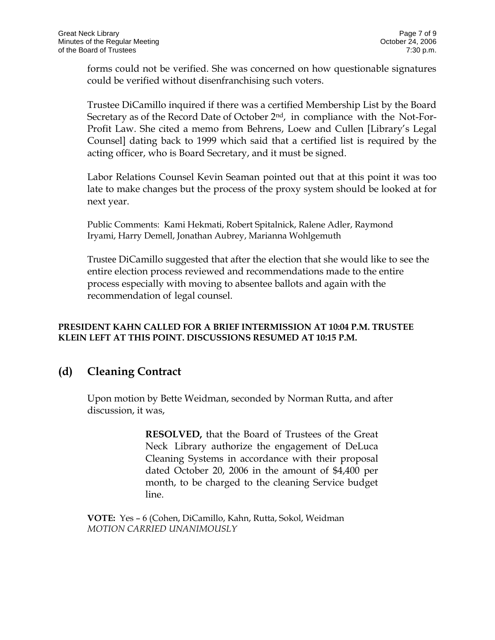forms could not be verified. She was concerned on how questionable signatures could be verified without disenfranchising such voters.

Trustee DiCamillo inquired if there was a certified Membership List by the Board Secretary as of the Record Date of October 2<sup>nd</sup>, in compliance with the Not-For-Profit Law. She cited a memo from Behrens, Loew and Cullen [Library's Legal Counsel] dating back to 1999 which said that a certified list is required by the acting officer, who is Board Secretary, and it must be signed.

Labor Relations Counsel Kevin Seaman pointed out that at this point it was too late to make changes but the process of the proxy system should be looked at for next year.

Public Comments: Kami Hekmati, Robert Spitalnick, Ralene Adler, Raymond Iryami, Harry Demell, Jonathan Aubrey, Marianna Wohlgemuth

Trustee DiCamillo suggested that after the election that she would like to see the entire election process reviewed and recommendations made to the entire process especially with moving to absentee ballots and again with the recommendation of legal counsel.

#### **PRESIDENT KAHN CALLED FOR A BRIEF INTERMISSION AT 10:04 P.M. TRUSTEE KLEIN LEFT AT THIS POINT. DISCUSSIONS RESUMED AT 10:15 P.M.**

## **(d) Cleaning Contract**

Upon motion by Bette Weidman, seconded by Norman Rutta, and after discussion, it was,

> **RESOLVED,** that the Board of Trustees of the Great Neck Library authorize the engagement of DeLuca Cleaning Systems in accordance with their proposal dated October 20, 2006 in the amount of \$4,400 per month, to be charged to the cleaning Service budget line.

**VOTE:** Yes – 6 (Cohen, DiCamillo, Kahn, Rutta, Sokol, Weidman *MOTION CARRIED UNANIMOUSLY*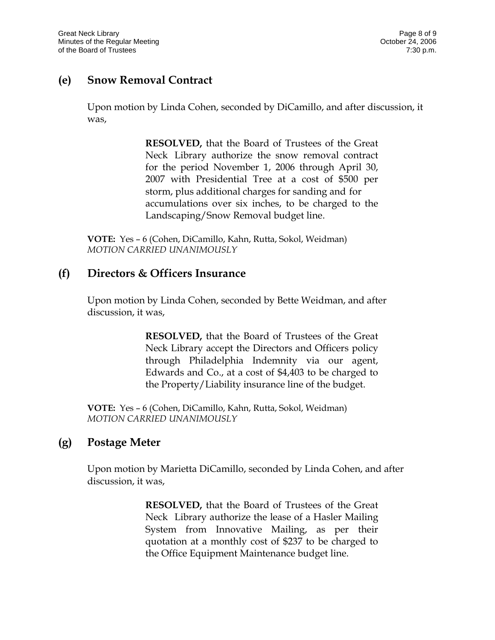## **(e) Snow Removal Contract**

Upon motion by Linda Cohen, seconded by DiCamillo, and after discussion, it was,

> **RESOLVED,** that the Board of Trustees of the Great Neck Library authorize the snow removal contract for the period November 1, 2006 through April 30, 2007 with Presidential Tree at a cost of \$500 per storm, plus additional charges for sanding and for accumulations over six inches, to be charged to the Landscaping/Snow Removal budget line.

**VOTE:** Yes – 6 (Cohen, DiCamillo, Kahn, Rutta, Sokol, Weidman) *MOTION CARRIED UNANIMOUSLY*

#### **(f) Directors & Officers Insurance**

Upon motion by Linda Cohen, seconded by Bette Weidman, and after discussion, it was,

> **RESOLVED,** that the Board of Trustees of the Great Neck Library accept the Directors and Officers policy through Philadelphia Indemnity via our agent, Edwards and Co., at a cost of \$4,403 to be charged to the Property/Liability insurance line of the budget.

**VOTE:** Yes – 6 (Cohen, DiCamillo, Kahn, Rutta, Sokol, Weidman) *MOTION CARRIED UNANIMOUSLY*

## **(g) Postage Meter**

Upon motion by Marietta DiCamillo, seconded by Linda Cohen, and after discussion, it was,

> **RESOLVED,** that the Board of Trustees of the Great Neck Library authorize the lease of a Hasler Mailing System from Innovative Mailing, as per their quotation at a monthly cost of \$237 to be charged to the Office Equipment Maintenance budget line.